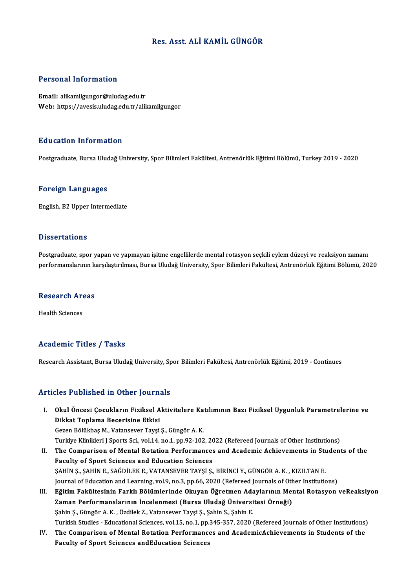# Res. Asst. ALİ KAMİL GÜNGÖR

# Personal Information

Email: alikamilgungor@uludag.edu.tr Web: https://avesis.uludag.edu.tr/alikamilgungor

### Education Information

Postgraduate, Bursa Uludağ University, Spor Bilimleri Fakültesi, Antrenörlük Eğitimi Bölümü, Turkey 2019 - 2020

#### Foreign Languages

English,B2Upper Intermediate

#### **Dissertations**

Postgraduate, spor yapan ve yapmayan işitme engellilerde mental rotasyon seçkili eylem düzeyi ve reaksiyon zamanı performanslarının karşılaştırılması, Bursa Uludağ University, Spor Bilimleri Fakültesi, Antrenörlük Eğitimi Bölümü, 2020

# periormansiarinin ki<br>Research Areas R<mark>esearch Ar</mark><br>Health Sciences

# Academic Titles / Tasks

Research Assistant, Bursa Uludağ University, Spor Bilimleri Fakültesi, Antrenörlük Eğitimi, 2019 - Continues

## Articles Published in Other Journals

- rticles Published in Other Journals<br>I. Okul Öncesi Çocukların Fiziksel Aktivitelere Katılımının Bazı Fiziksel Uygunluk Parametrelerine ve<br>Dikket Toplama Basarisine Etkisi dikkat Toplama Becerisine Etkisi<br>Dikkat Toplama Becerisine Etkisi<br>Cerer Pölükbes M. Vetersever Tevsi Okul Öncesi Çocukların Fiziksel Aktivitelere Ka<br>Dikkat Toplama Becerisine Etkisi<br>Gezen Bölükbaş M., Vatansever Tayşi Ş., Güngör A.K.<br>Turkiye Klinikleri I Sperts Ssi, vol 14, no 1, np 93, 193 Di<mark>kkat Toplama Becerisine Etkisi</mark><br>Gezen Bölükbaş M., Vatansever Tayşi Ş., Güngör A. K.<br>Turkiye Klinikleri J Sports Sci., vol.14, no.1, pp.92-102, 2022 (Refereed Journals of Other Institutions)<br>The Comparison of Montal Bat
- Gezen Bölükbaş M., Vatansever Tayşi Ş., Güngör A. K.<br>Turkiye Klinikleri J Sports Sci., vol.14, no.1, pp.92-102, 2022 (Refereed Journals of Other Institutions)<br>II. The Comparison of Mental Rotation Performances and Academic Turkiye Klinikleri J Sports Sci., vol.14, no.1, pp.92-102, 20<br>The Comparison of Mental Rotation Performances<br>Faculty of Sport Sciences and Education Sciences<br>SAHIN S. SAHIN E. SAČDILEK E. VATANSEVER TAVSLS ŞAHİNŞ.,ŞAHİNE.,SAĞDİLEKE.,VATANSEVERTAYŞİ Ş.,BİRİNCİY.,GÜNGÖRA.K. ,KIZILTANE. Faculty of Sport Sciences and Education Sciences<br>ŞAHİN Ş., ŞAHİN E., SAĞDİLEK E., VATANSEVER TAYŞİ Ş., BİRİNCİ Y., GÜNGÖR A. K. , KIZILTAN E.<br>Journal of Education and Learning, vol.9, no.3, pp.66, 2020 (Refereed Journals o
- III. Eğitim Fakültesinin Farklı Bölümlerinde Okuyan Öğretmen Adaylarının Mental Rotasyon veReaksiyon<br>Zaman Performanslarının İncelenmesi (Bursa Uludağ Üniversitesi Örneği) Journal of Education and Learning, vol.9, no.3, pp.66, 2020 (Refereed Journals of Oth<br>Eğitim Fakültesinin Farklı Bölümlerinde Okuyan Öğretmen Adaylarının Meı<br>Zaman Performanslarının İncelenmesi (Bursa Uludağ Üniversitesi Ö Şahin Ş., Güngör A.K., Özdilek Z., Vatansever Tayşi Ş., Şahin S., Şahin E. Zaman Performanslarının İncelenmesi (Bursa Uludağ Üniversitesi Örneği)<br>Şahin Ş., Güngör A. K. , Özdilek Z., Vatansever Tayşi Ş., Şahin S., Şahin E.<br>Turkish Studies - Educational Sciences, vol.15, no.1, pp.345-357, 2020 (Re Sahin S., Güngör A. K. , Özdilek Z., Vatansever Tayşi S., Şahin S., Şahin E.<br>Turkish Studies - Educational Sciences, vol.15, no.1, pp.345-357, 2020 (Refereed Journals of Other Institutions)<br>IV. The Comparison of Mental Rot
- Turkish Studies Educational Sciences, vol.15, no.1, pp.<br>The Comparison of Mental Rotation Performanc<br>Faculty of Sport Sciences andEducation Sciences